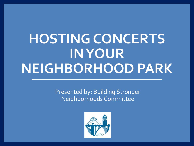# **HOSTING CONCERTS IN YOUR NEIGHBORHOOD PARK**

Presented by: Building Stronger Neighborhoods Committee

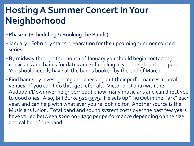# **Hosting A Summer Concert In Your Neighborhood**

- Phase 1 (Scheduling & Booking the Bands)
- January February starts preparation for the upcoming summer concert series.
- By midway through the month of January you should begin contacting musicians and bands for dates and scheduling in your neighborhood park. You should ideally have all the bands booked by the end of March.
- Find bands by investigating and checking out their performances at local venues. If you can't do this, get referrals. Victor or Diana (with the Audubon/Downriver neighborhood) know many musicians and can direct you to good ones. Also, Bill Burke 921-5579. He sets up "Pig Out in the Park" each year, and can help with what ever you're looking for. Another source is the Musicians Union. Total band and sound system costs over the past few years have varied between \$200.00 - \$750 per performance depending on the size and caliber of the band.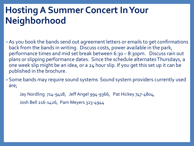## **Hosting A Summer Concert In Your Neighborhood**

- As you book the bands send out agreement letters or emails to get confirmations back from the bands in writing. Discuss costs, power available in the park, performance times and mid set break between 6:30 – 8:30pm. Discuss rain out plans or slipping performance dates. Since the schedule alternates Thursdays, a one week slip might be an idea, or a 24 hour slip. If you get this set up it can be published in the brochure.
- Some bands may require sound systems Sound system providers currently used are;

Jay Nordling 714-9418, Jeff Angel 994-9366, Pat Hickey 747-4804,

Josh Bell 216-1426, Pam Meyers 323-4944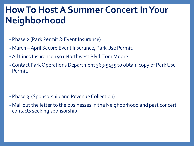#### **How To Host A Summer Concert In Your Neighborhood**

- Phase 2 (Park Permit & Event Insurance)
- March –April Secure Event Insurance, Park Use Permit.
- All Lines Insurance 1501 Northwest Blvd. Tom Moore.
- Contact Park Operations Department 363-5455 to obtain copy of Park Use Permit.

- Phase 3 (Sponsorship and Revenue Collection)
- Mail out the letter to the businesses in the Neighborhood and past concert contacts seeking sponsorship.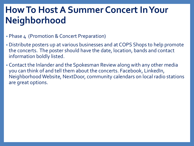## **How To Host A Summer Concert In Your Neighborhood**

- Phase 4 (Promotion & Concert Preparation)
- Distribute posters up at various businesses and at COPS Shops to help promote the concerts. The poster should have the date, location, bands and contact information boldly listed.
- Contact the Inlander and the Spokesman Review along with any other media you can think of and tell them about the concerts. Facebook, LinkedIn, Neighborhood Website, NextDoor, community calendars on local radio stations are great options.